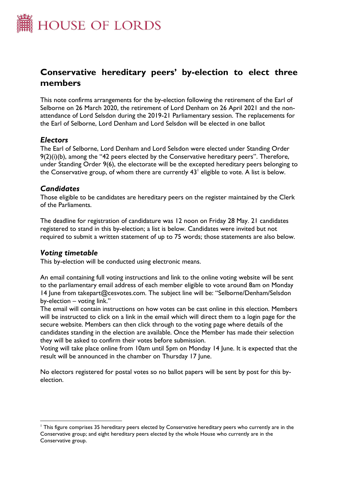

# **Conservative hereditary peers' by-election to elect three members**

This note confirms arrangements for the by-election following the retirement of the Earl of Selborne on 26 March 2020, the retirement of Lord Denham on 26 April 2021 and the nonattendance of Lord Selsdon during the 2019-21 Parliamentary session. The replacements for the Earl of Selborne, Lord Denham and Lord Selsdon will be elected in one ballot

# *Electors*

The Earl of Selborne, Lord Denham and Lord Selsdon were elected under Standing Order  $9(2)(i)(b)$ , among the "42 peers elected by the Conservative hereditary peers". Therefore, under Standing Order 9(6), the electorate will be the excepted hereditary peers belonging to the Conservative group, of whom there are currently 43 $^{\mathsf{l}}$  eligible to vote. A list is below.

# *Candidates*

Those eligible to be candidates are hereditary peers on the register maintained by the Clerk of the Parliaments.

The deadline for registration of candidature was 12 noon on Friday 28 May. 21 candidates registered to stand in this by-election; a list is below. Candidates were invited but not required to submit a written statement of up to 75 words; those statements are also below.

# *Voting timetable*

This by-election will be conducted using electronic means.

An email containing full voting instructions and link to the online voting website will be sent to the parliamentary email address of each member eligible to vote around 8am on Monday 14 June from takepart@cesvotes.com. The subject line will be: "Selborne/Denham/Selsdon by-election – voting link."

The email will contain instructions on how votes can be cast online in this election. Members will be instructed to click on a link in the email which will direct them to a login page for the secure website. Members can then click through to the voting page where details of the candidates standing in the election are available. Once the Member has made their selection they will be asked to confirm their votes before submission.

Voting will take place online from 10am until 5pm on Monday 14 June. It is expected that the result will be announced in the chamber on Thursday 17 June.

No electors registered for postal votes so no ballot papers will be sent by post for this byelection.

<sup>&</sup>lt;sup>1</sup> This figure comprises 35 hereditary peers elected by Conservative hereditary peers who currently are in the Conservative group; and eight hereditary peers elected by the whole House who currently are in the Conservative group.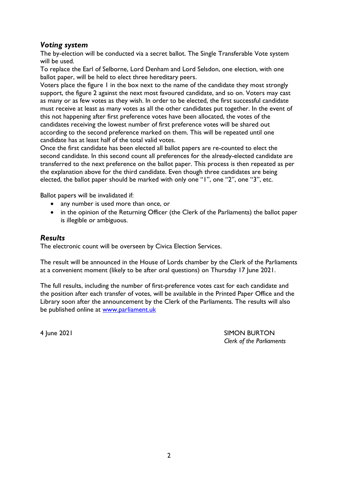# *Voting system*

The by-election will be conducted via a secret ballot. The Single Transferable Vote system will be used.

To replace the Earl of Selborne, Lord Denham and Lord Selsdon, one election, with one ballot paper, will be held to elect three hereditary peers.

Voters place the figure 1 in the box next to the name of the candidate they most strongly support, the figure 2 against the next most favoured candidate, and so on. Voters may cast as many or as few votes as they wish. In order to be elected, the first successful candidate must receive at least as many votes as all the other candidates put together. In the event of this not happening after first preference votes have been allocated, the votes of the candidates receiving the lowest number of first preference votes will be shared out according to the second preference marked on them. This will be repeated until one candidate has at least half of the total valid votes.

Once the first candidate has been elected all ballot papers are re-counted to elect the second candidate. In this second count all preferences for the already-elected candidate are transferred to the next preference on the ballot paper. This process is then repeated as per the explanation above for the third candidate. Even though three candidates are being elected, the ballot paper should be marked with only one "1", one "2", one "3", etc.

Ballot papers will be invalidated if:

- any number is used more than once, or
- in the opinion of the Returning Officer (the Clerk of the Parliaments) the ballot paper is illegible or ambiguous.

# *Results*

The electronic count will be overseen by Civica Election Services.

The result will be announced in the House of Lords chamber by the Clerk of the Parliaments at a convenient moment (likely to be after oral questions) on Thursday 17 June 2021.

The full results, including the number of first-preference votes cast for each candidate and the position after each transfer of votes, will be available in the Printed Paper Office and the Library soon after the announcement by the Clerk of the Parliaments. The results will also be published online at [www.parliament.uk](http://www.parliament.uk/)

4 June 2021 SIMON BURTON *Clerk of the Parliaments*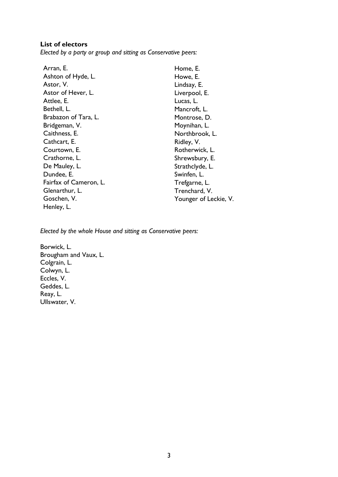#### **List of electors**

*Elected by a party or group and sitting as Conservative peers:*

| Arran, E.              | Home, E.              |
|------------------------|-----------------------|
| Ashton of Hyde, L.     | Howe, E.              |
| Astor, V.              | Lindsay, E.           |
| Astor of Hever, L.     | Liverpool, E.         |
| Attlee, E.             | Lucas, L.             |
| Bethell, L.            | Mancroft, L.          |
| Brabazon of Tara, L.   | Montrose, D.          |
| Bridgeman, V.          | Moynihan, L.          |
| Caithness, E.          | Northbrook, L.        |
| Cathcart, E.           | Ridley, V.            |
| Courtown, E.           | Rotherwick, L.        |
| Crathorne, L.          | Shrewsbury, E.        |
| De Mauley, L.          | Strathclyde, L.       |
| Dundee, E.             | Swinfen, L.           |
| Fairfax of Cameron, L. | Trefgarne, L.         |
| Glenarthur, L.         | Trenchard, V.         |
| Goschen, V.            | Younger of Leckie, V. |
| Henley, L.             |                       |

*Elected by the whole House and sitting as Conservative peers:*

Borwick, L. Brougham and Vaux, L. Colgrain, L. Colwyn, L. Eccles, V. Geddes, L. Reay, L. Ullswater, V.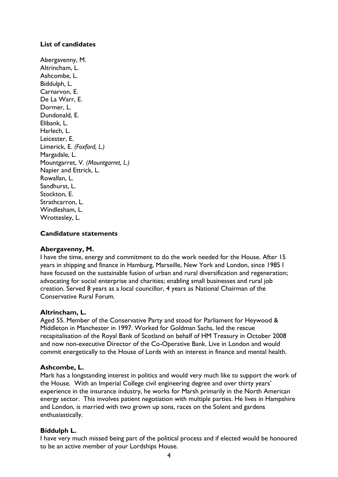# **List of candidates**

Abergavenny, M. Altrincham, L. Ashcombe, L. Biddulph, L. Carnarvon, E. De La Warr, E. Dormer, L. Dundonald, E. Elibank, L. Harlech, L. Leicester, E. Limerick, E. *(Foxford, L.)* Margadale, L. Mountgarret, V. *(Mountgarret, L.)* Napier and Ettrick, L. Rowallan, L. Sandhurst, L. Stockton, E. Strathcarron, L. Windlesham, L. Wrottesley, L.

### **Candidature statements**

#### **Abergavenny, M.**

I have the time, energy and commitment to do the work needed for the House. After 15 years in shipping and finance in Hamburg, Marseille, New York and London, since 1985 I have focused on the sustainable fusion of urban and rural diversification and regeneration; advocating for social enterprise and charities; enabling small businesses and rural job creation. Served 8 years as a local councillor, 4 years as National Chairman of the Conservative Rural Forum.

#### **Altrincham, L.**

Aged 55. Member of the Conservative Party and stood for Parliament for Heywood & Middleton in Manchester in 1997. Worked for Goldman Sachs, led the rescue recapitalisation of the Royal Bank of Scotland on behalf of HM Treasury in October 2008 and now non-executive Director of the Co-Operative Bank. Live in London and would commit energetically to the House of Lords with an interest in finance and mental health.

### **Ashcombe, L.**

Mark has a longstanding interest in politics and would very much like to support the work of the House. With an Imperial College civil engineering degree and over thirty years' experience in the insurance industry, he works for Marsh primarily in the North American energy sector. This involves patient negotiation with multiple parties. He lives in Hampshire and London, is married with two grown up sons, races on the Solent and gardens enthusiastically.

### **Biddulph L.**

I have very much missed being part of the political process and if elected would be honoured to be an active member of your Lordships House.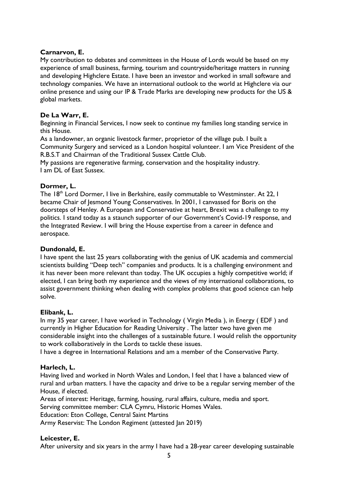### **Carnarvon, E.**

My contribution to debates and committees in the House of Lords would be based on my experience of small business, farming, tourism and countryside/heritage matters in running and developing Highclere Estate. I have been an investor and worked in small software and technology companies. We have an international outlook to the world at Highclere via our online presence and using our lP & Trade Marks are developing new products for the US & global markets.

# **De La Warr, E.**

Beginning in Financial Services, I now seek to continue my families long standing service in this House.

As a landowner, an organic livestock farmer, proprietor of the village pub. I built a Community Surgery and serviced as a London hospital volunteer. I am Vice President of the R.B.S.T and Chairman of the Traditional Sussex Cattle Club.

My passions are regenerative farming, conservation and the hospitality industry. I am DL of East Sussex.

### **Dormer, L.**

The 18<sup>th</sup> Lord Dormer, I live in Berkshire, easily commutable to Westminster. At 22, I became Chair of Jesmond Young Conservatives. In 2001, I canvassed for Boris on the doorsteps of Henley. A European and Conservative at heart, Brexit was a challenge to my politics. I stand today as a staunch supporter of our Government's Covid-19 response, and the Integrated Review. I will bring the House expertise from a career in defence and aerospace.

### **Dundonald, E.**

I have spent the last 25 years collaborating with the genius of UK academia and commercial scientists building "Deep tech" companies and products. It is a challenging environment and it has never been more relevant than today. The UK occupies a highly competitive world; if elected, I can bring both my experience and the views of my international collaborations, to assist government thinking when dealing with complex problems that good science can help solve.

### **Elibank, L.**

In my 35 year career, I have worked in Technology ( Virgin Media ), in Energy ( EDF ) and currently in Higher Education for Reading University . The latter two have given me considerable insight into the challenges of a sustainable future. I would relish the opportunity to work collaboratively in the Lords to tackle these issues.

I have a degree in International Relations and am a member of the Conservative Party.

### **Harlech, L.**

Having lived and worked in North Wales and London, I feel that I have a balanced view of rural and urban matters. I have the capacity and drive to be a regular serving member of the House, if elected.

Areas of interest: Heritage, farming, housing, rural affairs, culture, media and sport. Serving committee member: CLA Cymru, Historic Homes Wales. Education: Eton College, Central Saint Martins Army Reservist: The London Regiment (attested Jan 2019)

### **Leicester, E.**

After university and six years in the army I have had a 28-year career developing sustainable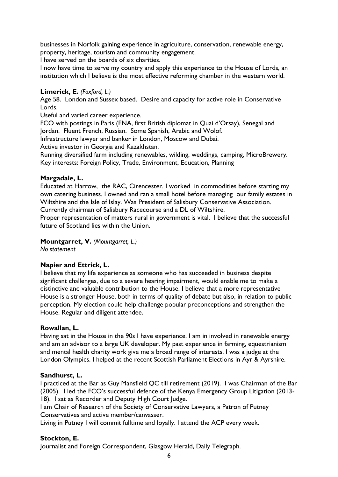businesses in Norfolk gaining experience in agriculture, conservation, renewable energy, property, heritage, tourism and community engagement.

I have served on the boards of six charities.

I now have time to serve my country and apply this experience to the House of Lords, an institution which I believe is the most effective reforming chamber in the western world.

#### **Limerick, E.** *(Foxford, L.)*

Age 58. London and Sussex based. Desire and capacity for active role in Conservative Lords.

Useful and varied career experience.

FCO with postings in Paris (ENA, first British diplomat in Quai d'Orsay), Senegal and Jordan. Fluent French, Russian. Some Spanish, Arabic and Wolof.

Infrastructure lawyer and banker in London, Moscow and Dubai.

Active investor in Georgia and Kazakhstan.

Running diversified farm including renewables, wilding, weddings, camping, MicroBrewery. Key interests: Foreign Policy, Trade, Environment, Education, Planning

#### **Margadale, L.**

Educated at Harrow, the RAC, Cirencester. I worked in commodities before starting my own catering business. I owned and ran a small hotel before managing our family estates in Wiltshire and the Isle of Islay. Was President of Salisbury Conservative Association. Currently chairman of Salisbury Racecourse and a DL of Wiltshire.

Proper representation of matters rural in government is vital. I believe that the successful future of Scotland lies within the Union.

### **Mountgarret, V.** *(Mountgarret, L.)*

*No statement*

### **Napier and Ettrick, L.**

I believe that my life experience as someone who has succeeded in business despite significant challenges, due to a severe hearing impairment, would enable me to make a distinctive and valuable contribution to the House. I believe that a more representative House is a stronger House, both in terms of quality of debate but also, in relation to public perception. My election could help challenge popular preconceptions and strengthen the House. Regular and diligent attendee.

#### **Rowallan, L.**

Having sat in the House in the 90s I have experience. I am in involved in renewable energy and am an advisor to a large UK developer. My past experience in farming, equestrianism and mental health charity work give me a broad range of interests. I was a judge at the London Olympics. I helped at the recent Scottish Parliament Elections in Ayr & Ayrshire.

#### **Sandhurst, L.**

I practiced at the Bar as Guy Mansfield QC till retirement (2019). I was Chairman of the Bar (2005). I led the FCO's successful defence of the Kenya Emergency Group Litigation (2013- 18). I sat as Recorder and Deputy High Court Judge.

I am Chair of Research of the Society of Conservative Lawyers, a Patron of Putney Conservatives and active member/canvasser.

Living in Putney I will commit fulltime and loyally. I attend the ACP every week.

### **Stockton, E.**

Journalist and Foreign Correspondent, Glasgow Herald, Daily Telegraph.